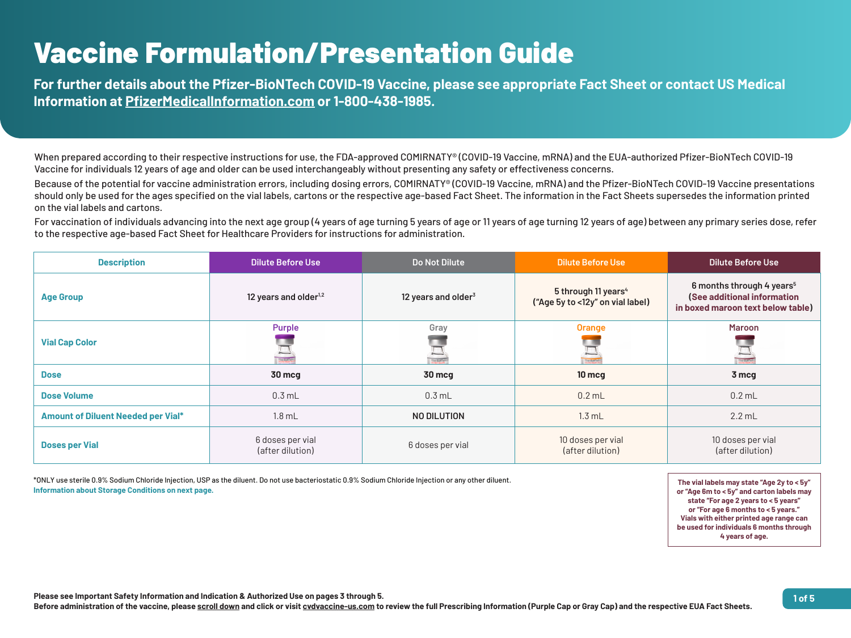

| <b>Description</b>                        | <b>Dilute Before Use</b>             | Do Not Dilute                   | <b>Dilute Before Use</b>                                            | <b>Dilute Before Use</b>                                                     |
|-------------------------------------------|--------------------------------------|---------------------------------|---------------------------------------------------------------------|------------------------------------------------------------------------------|
| <b>Age Group</b>                          | 12 years and older <sup>1,2</sup>    | 12 years and older <sup>3</sup> | 5 through 11 years <sup>4</sup><br>("Age 5y to <12y" on vial label) | 6 months through 4 ye<br>(See additional inform<br>in boxed maroon text beld |
| <b>Vial Cap Color</b>                     | <b>Purple</b><br>for <b>Justin</b>   | Gray                            | <b>Orange</b><br>or but fech                                        | <b>Maroon</b>                                                                |
| <b>Dose</b>                               | <b>30 mcg</b>                        | <b>30 mcg</b>                   | <b>10 mcg</b>                                                       | 3 mcg                                                                        |
| <b>Dose Volume</b>                        | $0.3$ mL                             | $0.3$ mL                        | $0.2$ mL                                                            | $0.2$ mL                                                                     |
| <b>Amount of Diluent Needed per Vial*</b> | $1.8$ mL                             | NO DILUTION                     | 1.3 mL                                                              | $2.2$ mL                                                                     |
| <b>Doses per Vial</b>                     | 6 doses per vial<br>(after dilution) | 6 doses per vial                | 10 doses per vial<br>(after dilution)                               | 10 doses per vial<br>(after dilution)                                        |

\*ONLY use sterile 0.9% Sodium Chloride Injection, USP as the diluent. Do not use bacteriostatic 0.9% Sodium Chloride Injection or any other diluent. **Information about Storage Conditions on next page.**

**The vial labels may state "Age 2y to < 5y" or "Age 6m to < 5y" and carton labels may state "For age 2 years to < 5 years" or "For age 6 months to < 5 years." Vials with either printed age range can be used for individuals 6 months through 4 years of age.**



# **bugh 4 years**<sup>5</sup> **Solutional information in below table** per vial ilution)

## Vaccine Formulation/Presentation Guide

**For further details about the Pfizer-BioNTech COVID-19 Vaccine, please see appropriate Fact Sheet or contact US Medical Information at [PfizerMedicalInformation.com](https://www.pfizermedicalinformation.com) or 1-800-438-1985.** 

For vaccination of individuals advancing into the next age group (4 years of age turning 5 years of age turning 12 years of age) between any primary series dose, refer to the respective age-based Fact Sheet for Healthcare Providers for instructions for administration.

When prepared according to their respective instructions for use, the FDA-approved COMIRNATY® (COVID-19 Vaccine, mRNA) and the EUA-authorized Pfizer-BioNTech COVID-19 Vaccine for individuals 12 years of age and older can be used interchangeably without presenting any safety or effectiveness concerns. Because of the potential for vaccine administration errors, including dosing errors, COMIRNATY® (COVID-19 Vaccine, mRNA) and the Pfizer-BioNTech COVID-19 Vaccine presentations should only be used for the ages specified on the vial labels, cartons or the respective age-based Fact Sheet. The information in the Fact Sheets supersedes the information printed on the vial labels and cartons.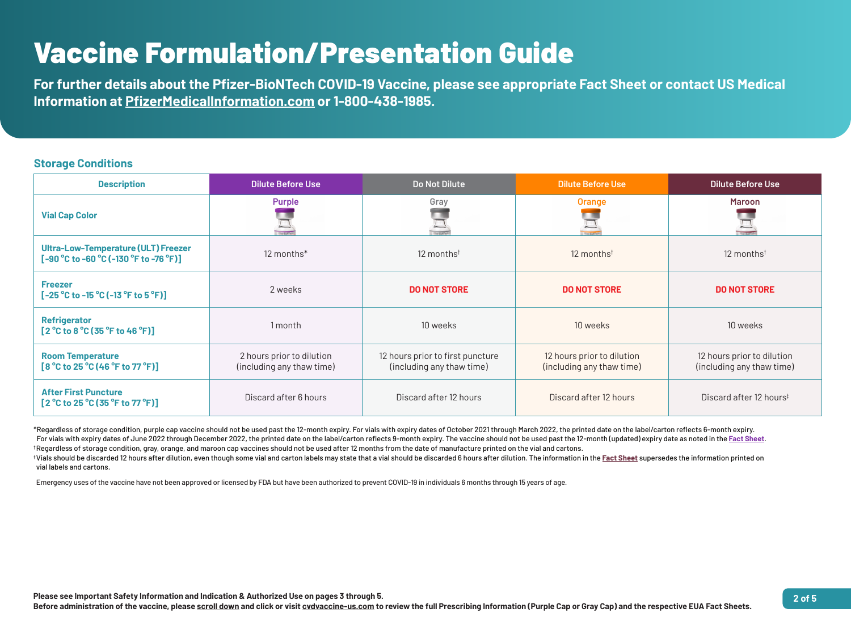

#### **Storage Conditions**

| <b>Description</b>                                                                             | <b>Dilute Before Use</b>                               | Do Not Dilute                                                 | <b>Dilute Before Use</b>                                | <b>Dilute Before Use</b>                              |
|------------------------------------------------------------------------------------------------|--------------------------------------------------------|---------------------------------------------------------------|---------------------------------------------------------|-------------------------------------------------------|
| <b>Vial Cap Color</b>                                                                          | <b>Purple</b>                                          | Gray                                                          | <b>Orange</b>                                           | <b>Maroon</b>                                         |
| <b>Ultra-Low-Temperature (ULT) Freezer</b><br>$[-90 °C$ to $-60 °C$ ( $-130 °F$ to $-76 °F$ )] | 12 months*                                             | 12 months <sup>t</sup>                                        | 12 monthst                                              | 12 months <sup>t</sup>                                |
| <b>Freezer</b><br>$[-25 °C$ to -15 $°C$ (-13 $°F$ to 5 $°F$ )]                                 | 2 weeks                                                | <b>DO NOT STORE</b>                                           | <b>DO NOT STORE</b>                                     | <b>DO NOT STORE</b>                                   |
| <b>Refrigerator</b><br>$[2^{\circ}$ C to 8 $^{\circ}$ C (35 $^{\circ}$ F to 46 $^{\circ}$ F)]  | I month                                                | 10 weeks                                                      | 10 weeks                                                | 10 weeks                                              |
| <b>Room Temperature</b><br>$[8 °C$ to 25 $°C$ (46 $°F$ to 77 $°F$ )]                           | 2 hours prior to dilution<br>(including any thaw time) | 12 hours prior to first puncture<br>(including any thaw time) | 12 hours prior to dilution<br>(including any thaw time) | 12 hours prior to dilutio<br>(including any thaw time |
| <b>After First Puncture</b><br>$[2 °C$ to 25 $°C$ (35 $°F$ to 77 $°F$ )]                       | Discard after 6 hours                                  | Discard after 12 hours                                        | Discard after 12 hours                                  | Discard after 12 hours <sup>#</sup>                   |



<sup>‡</sup>Vials should be discarded 12 hours after dilution, even though some vial and carton labels may state that a vial should be discarded 6 hours after dilution. The information in the <u>[Fact Sheet](https://labeling.pfizer.com/ShowLabeling.aspx?id=17227&format=pdf)</u> supersedes the information vial labels and cartons.



\*Regardless of storage condition, purple cap vaccine should not be used past the 12-month expiry. For vials with expiry dates of October 2021 through March 2022, the printed date on the label/carton reflects 6-month expiry. For vials with expiry dates of June 2022 through December 2022, the printed date on the label/carton reflects 9-month expiry. The vaccine should not be used past the 12-month (updated) expiry date as noted in the Fact Shee † Regardless of storage condition, gray, orange, and maroon cap vaccines should not be used after 12 months from the date of manufacture printed on the vial and cartons.

Emergency uses of the vaccine have not been approved or licensed by FDA but have been authorized to prevent COVID-19 in individuals 6 months through 15 years of age.

## Vaccine Formulation/Presentation Guide

**For further details about the Pfizer-BioNTech COVID-19 Vaccine, please see appropriate Fact Sheet or contact US Medical Information at [PfizerMedicalInformation.com](https://www.pfizermedicalinformation.com) or 1-800-438-1985.**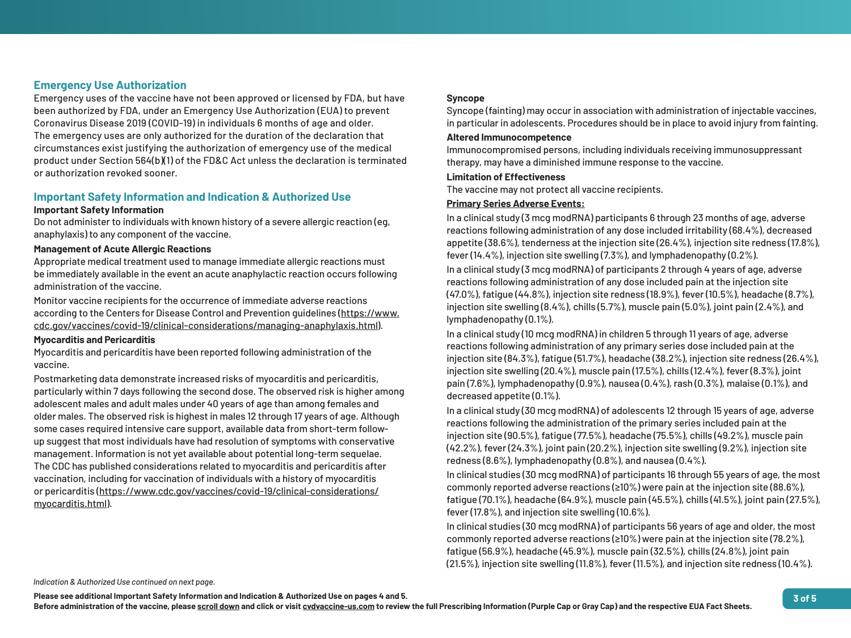

#### **Important Safety Information and Indication & Authorized Use Important Safety Information**

Do not administer to individuals with known history of a severe allergic reaction ( anaphylaxis) to any component of the vaccine.

Appropriate medical treatment used to manage immediate allergic reactions mu be immediately available in the event an acute anaphylactic reaction occurs follow administration of the vaccine.

Monitor vaccine recipients for the occurrence of immediate [adverse reactions](https://www.cdc.gov/vaccines/covid-19/clinical-considerations/managing-anaphylaxis.html)  [according to the Centers for Disease Control and Prevention guidelines](https://www.cdc.gov/vaccines/covid-19/clinical-considerations/managing-anaphylaxis.html) (https://v cdc.gov/vaccines/covid-19/clinical-considerations/managing-anaphylaxis.htm

#### **Management of Acute Allergic Reactions**

#### **Myocarditis and Pericarditis**

Myocarditis and pericarditis have been reported following administration of the vaccine.

Emergency uses of the vaccine have not been approved or licensed by FDA, but been authorized by FDA, under an Emergency Use Authorization (EUA) to prev Coronavirus Disease 2019 (COVID-19) in individuals 6 months of age and older. The emergency uses are only authorized for the duration of the declaration that circumstances exist justifying the authorization of emergency use of the medi product under Section 564(b)(1) of the FD&C Act unless the declaration is term or authorization revoked sooner.

Postmarketing data demonstrate increased risks of myocarditis and pericarditis, particularly within 7 days following the second dose. The observed risk is higher adolescent males and adult males under 40 [years of age than among females and](https://www.cdc.gov/vaccines/covid-19/clinical-considerations/myocarditis.html)  [older males. The observed risk is highest i](https://www.cdc.gov/vaccines/covid-19/clinical-considerations/myocarditis.html)n males 12 through 17 years of age. Alth some cases required intensive care support, available data from short-term follo up suggest that most individuals have had resolution of symptoms with conserva management. Information is not yet available about potential long-term sequelae. The CDC has published considerations related to myocarditis and pericarditis aft vaccination, including for vaccination of individuals with a history of myocarditis or pericarditis [\(https://www.cdc.gov/vaccines/covid-19/clinical-considerations/](https://www.cdc.gov/vaccines/covid-19/clinical-considerations/myocarditis.html) [myocarditis.html\)](https://www.cdc.gov/vaccines/covid-19/clinical-considerations/myocarditis.html).

### **Emergency Use Authorization**

| <b>ut have</b><br>ent                       | <b>Syncope</b><br>Syncope (fainting) may occur in association with administration of injectable vaccines<br>in particular in adolescents. Procedures should be in place to avoid injury from fainting                                                                                                                                                                                                                                         |
|---------------------------------------------|-----------------------------------------------------------------------------------------------------------------------------------------------------------------------------------------------------------------------------------------------------------------------------------------------------------------------------------------------------------------------------------------------------------------------------------------------|
| at                                          | <b>Altered Immunocompetence</b>                                                                                                                                                                                                                                                                                                                                                                                                               |
| ical                                        | Immunocompromised persons, including individuals receiving immunosuppressant                                                                                                                                                                                                                                                                                                                                                                  |
| ninated                                     | therapy, may have a diminished immune response to the vaccine.                                                                                                                                                                                                                                                                                                                                                                                |
|                                             | <b>Limitation of Effectiveness</b>                                                                                                                                                                                                                                                                                                                                                                                                            |
|                                             | The vaccine may not protect all vaccine recipients.                                                                                                                                                                                                                                                                                                                                                                                           |
|                                             | <b>Primary Series Adverse Events:</b>                                                                                                                                                                                                                                                                                                                                                                                                         |
| $e$ g,<br>ıst                               | In a clinical study (3 mcg modRNA) participants 6 through 23 months of age, adverse<br>reactions following administration of any dose included irritability (68.4%), decreased<br>appetite (38.6%), tenderness at the injection site (26.4%), injection site redness (17.8%<br>fever (14.4%), injection site swelling (7.3%), and lymphadenopathy (0.2%).                                                                                     |
| wing                                        | In a clinical study (3 mcg modRNA) of participants 2 through 4 years of age, adverse<br>reactions following administration of any dose included pain at the injection site<br>(47.0%), fatique (44.8%), injection site redness (18.9%), fever (10.5%), headache (8.7%)<br>injection site swelling (8.4%), chills (5.7%), muscle pain (5.0%), joint pain (2.4%), and                                                                           |
| WWW.<br><u> </u> ).                         | lymphadenopathy (0.1%).                                                                                                                                                                                                                                                                                                                                                                                                                       |
|                                             | In a clinical study (10 mcg modRNA) in children 5 through 11 years of age, adverse                                                                                                                                                                                                                                                                                                                                                            |
| $\mathbf{r}$<br>among<br>$\mathsf{L}% _{0}$ | reactions following administration of any primary series dose included pain at the<br>injection site (84.3%), fatigue (51.7%), headache (38.2%), injection site redness (26.4%<br>injection site swelling (20.4%), muscle pain (17.5%), chills (12.4%), fever (8.3%), joint<br>pain (7.6%), lymphadenopathy (0.9%), nausea (0.4%), rash (0.3%), malaise (0.1%), and<br>decreased appetite (0.1%).                                             |
| าough<br>$W^-$<br>ative<br>е.<br>ter        | In a clinical study (30 mcg modRNA) of adolescents 12 through 15 years of age, adverse<br>reactions following the administration of the primary series included pain at the<br>injection site (90.5%), fatique (77.5%), headache (75.5%), chills (49.2%), muscle pain<br>(42.2%), fever (24.3%), joint pain (20.2%), injection site swelling (9.2%), injection site<br>redness $(8.6\%)$ , lymphadenopathy $(0.8\%)$ , and nausea $(0.4\%)$ . |
|                                             | In clinical studies (30 mcg modRNA) of participants 16 through 55 years of age, the mo<br>commonly reported adverse reactions ( $\geq$ 10%) were pain at the injection site (88.6%),<br>fatigue (70.1%), headache (64.9%), muscle pain (45.5%), chills (41.5%), joint pain (27.5%<br>fever (17.8%), and injection site swelling (10.6%).                                                                                                      |
|                                             | In clinical studies (30 mcg modRNA) of participants 56 years of age and older, the mos<br>commonly reported adverse reactions ( $\geq 10\%$ ) were pain at the injection site (78.2%),<br>fatique (56.9%), headache (45.9%), muscle pain (32.5%), chills (24.8%), joint pain<br>(21.5%), injection site swelling (11.8%), fever (11.5%), and injection site redness (10.4%).                                                                  |

#### ctable vaccines, iry from fainting.

 $\vdots$  age, adverse 4%), decreased  $e$  redness (17.8%), age, adverse ection site eadache (8.7%), in (2.4%), and

e, adverse pain at the redness (26.4%),  $i$  (8.3%), joint  $ise (0.1\%)$ , and

of age, the most n site (88.6%),  $\frac{1}{2}$ oint pain (27.5%),

older, the most n site (78.2%),  $\delta$  joint pain

*Indication & Authorized Use continued on next page.*

**Please see additional Important Safety Information and Indication & Authorized Use on pages 4 and 5.**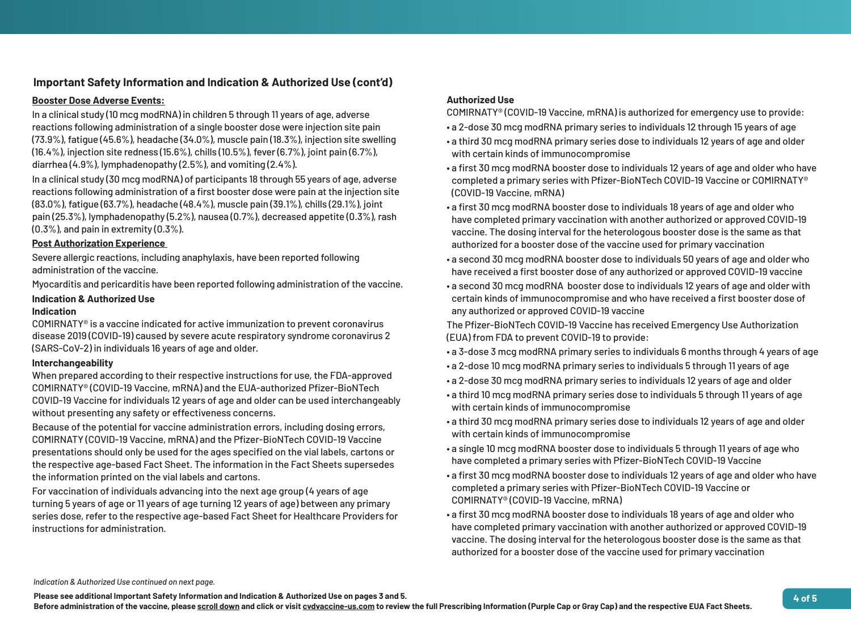

#### **Booster Dose Adverse Events:**

In a clinical study (10 mcg modRNA) in children 5 through 11 years of age, adverse reactions following administration of a single booster dose were injection site pain (73.9%), fatigue (45.6%), headache (34.0%), muscle pain (18.3%), injection site swelling (16.4%), injection site redness (15.6%), chills (10.5%), fever (6.7%), joint pain (6.7%), diarrhea (4.9%), lymphadenopathy (2.5%), and vomiting (2.4%).

In a clinical study (30 mcg modRNA) of participants 18 through 55 years of age, adverse reactions following administration of a first booster dose were pain at the injection site (83.0%), fatigue (63.7%), headache (48.4%), muscle pain (39.1%), chills (29.1%), joint pain (25.3%), lymphadenopathy (5.2%), nausea (0.7%), decreased appetite (0.3%), rash (0.3%), and pain in extremity (0.3%).

#### **Post Authorization Experience**

Severe allergic reactions, including anaphylaxis, have been reported following administration of the vaccine.

Myocarditis and pericarditis have been reported following administration of the vaccine.

#### **Indication & Authorized Use Indication**

COMIRNATY® is a vaccine indicated for active immunization to prevent coronavirus disease 2019 (COVID-19) caused by severe acute respiratory syndrome coronavirus 2 (SARS-CoV-2) in individuals 16 years of age and older.

#### **Interchangeability**

When prepared according to their respective instructions for use, the FDA-approved COMIRNATY® (COVID-19 Vaccine, mRNA) and the EUA-authorized Pfizer-BioNTech COVID-19 Vaccine for individuals 12 years of age and older can be used interchangeably without presenting any safety or effectiveness concerns.

Because of the potential for vaccine administration errors, including dosing errors, COMIRNATY (COVID-19 Vaccine, mRNA) and the Pfizer-BioNTech COVID-19 Vaccine presentations should only be used for the ages specified on the vial labels, cartons or the respective age-based Fact Sheet. The information in the Fact Sheets supersedes the information printed on the vial labels and cartons.

For vaccination of individuals advancing into the next age group (4 years of age turning 5 years of age or 11 years of age turning 12 years of age) between any primary series dose, refer to the respective age-based Fact Sheet for Healthcare Providers for instructions for administration.

### **Authorized Use**

COMIRNATY® (COVID-19 Vaccine, mRNA) is authorized for emergency use to provide:

- a 2-dose 30 mcg modRNA primary series to individuals 12 through 15 years of age
- a third 30 mcg modRNA primary series dose to individuals 12 years of age and older with certain kinds of immunocompromise
- a first 30 mcg modRNA booster dose to individuals 12 years of age and older who have completed a primary series with Pfizer-BioNTech COVID-19 Vaccine or COMIRNATY® (COVID-19 Vaccine, mRNA)
- a first 30 mcg modRNA booster dose to individuals 18 years of age and older who have completed primary vaccination with another authorized or approved COVID-19 vaccine. The dosing interval for the heterologous booster dose is the same as that authorized for a booster dose of the vaccine used for primary vaccination
- a second 30 mcg modRNA booster dose to individuals 50 years of age and older who have received a first booster dose of any authorized or approved COVID-19 vaccine
- a second 30 mcg modRNA booster dose to individuals 12 years of age and older with certain kinds of immunocompromise and who have received a first booster dose of any authorized or approved COVID-19 vaccine

The Pfizer-BioNTech COVID-19 Vaccine has received Emergency Use Authorization (EUA) from FDA to prevent COVID-19 to provide:

- a 3-dose 3 mcg modRNA primary series to individuals 6 months through 4 years of age
- a 2-dose 10 mcg modRNA primary series to individuals 5 through 11 years of age
- a 2-dose 30 mcg modRNA primary series to individuals 12 years of age and older
- a third 10 mcg modRNA primary series dose to individuals 5 through 11 years of age with certain kinds of immunocompromise
- a third 30 mcg modRNA primary series dose to individuals 12 years of age and older with certain kinds of immunocompromise
- a single 10 mcg modRNA booster dose to individuals 5 through 11 years of age who have completed a primary series with Pfizer-BioNTech COVID-19 Vaccine
- a first 30 mcg modRNA booster dose to individuals 12 years of age and older who have completed a primary series with Pfizer-BioNTech COVID-19 Vaccine or COMIRNATY® (COVID-19 Vaccine, mRNA)
- a first 30 mcg modRNA booster dose to individuals 18 years of age and older who have completed primary vaccination with another authorized or approved COVID-19 vaccine. The dosing interval for the heterologous booster dose is the same as that authorized for a booster dose of the vaccine used for primary vaccination

## **Important Safety Information and Indication & Authorized Use (cont'd)**

*Indication & Authorized Use continued on next page.*

**Please see additional Important Safety Information and Indication & Authorized Use on pages 3 and 5.**